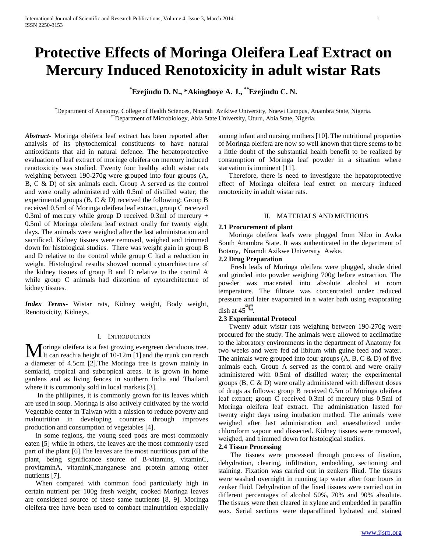# **Protective Effects of Moringa Oleifera Leaf Extract on Mercury Induced Renotoxicity in adult wistar Rats**

**\*Ezejindu D. N., \*Akingboye A. J., \*\*Ezejindu C. N.**

\*Department of Anatomy, College of Health Sciences, Nnamdi Azikiwe University, Nnewi Campus, Anambra State, Nigeria. \*\*Department of Microbiology, Abia State University, Uturu, Abia State, Nigeria.

*Abstract***-** Moringa oleifera leaf extract has been reported after analysis of its phytochemical constituents to have natural antioxidants that aid in natural defence. The hepatoprotective evaluation of leaf extract of moringe oleifera on mercury induced renotoxicity was studied. Twenty four healthy adult wistar rats weighing between 190-270g were grouped into four groups (A, B, C & D) of six animals each. Group A served as the control and were orally administered with 0.5ml of distilled water; the experimental groups (B, C & D) received the following: Group B received 0.5ml of Moringa oleifera leaf extract, group C received 0.3ml of mercury while group D received 0.3ml of mercury  $+$ 0.5ml of Moringa oleifera leaf extract orally for twenty eight days. The animals were weighed after the last administration and sacrificed. Kidney tissues were removed, weighed and trimmed down for histological studies. There was weight gain in group B and D relative to the control while group C had a reduction in weight. Histological results showed normal cytoarchitecture of the kidney tissues of group B and D relative to the control A while group C animals had distortion of cytoarchitecture of kidney tissues.

*Index Terms*- Wistar rats, Kidney weight, Body weight, Renotoxicity, Kidneys.

# I. INTRODUCTION

oringa oleifera is a fast growing evergreen deciduous tree. Moringa oleifera is a fast growing evergreen deciduous tree.<br>It can reach a height of 10-12m [1] and the trunk can reach a diameter of 4.5cm [2].The Moringa tree is grown mainly in semiarid, tropical and subtropical areas. It is grown in home gardens and as living fences in southern India and Thailand where it is commonly sold in local markets [3].

 In the philipines, it is commonly grown for its leaves which are used in soup. Moringa is also actively cultivated by the world Vegetable center in Taiwan with a mission to reduce poverty and malnutrition in developing countries through improves production and consumption of vegetables [4].

 In some regions, the young seed pods are most commonly eaten [5] while in others, the leaves are the most commonly used part of the plant [6].The leaves are the most nutritious part of the plant, being significance source of B-vitamins, vitaminC, provitaminA, vitaminK,manganese and protein among other nutrients [7].

 When compared with common food particularly high in certain nutrient per 100g fresh weight, cooked Moringa leaves are considered source of these same nutrients [8, 9]. Moringa oleifera tree have been used to combact malnutrition especially

among infant and nursing mothers [10]. The nutritional properties of Moringa oleifera are now so well known that there seems to be a little doubt of the substantial health benefit to be realized by consumption of Moringa leaf powder in a situation where starvation is imminent [11].

 Therefore, there is need to investigate the hepatoprotective effect of Moringa oleifera leaf extrct on mercury induced renotoxicity in adult wistar rats.

# II. MATERIALS AND METHODS

## **2.1 Procurement of plant**

 Moringa oleifera leafs were plugged from Nibo in Awka South Anambra State. It was authenticated in the department of Botany, Nnamdi Azikwe University Awka.

## **2.2 Drug Preparation**

 Fresh leafs of Moringa oleifera were plugged, shade dried and grinded into powder weighing 700g before extraction. The powder was macerated into absolute alcohol at room temperature. The filtrate was concentrated under reduced pressure and later evaporated in a water bath using evaporating dish at  $45^{\circ}C$ .

## **2.3 Experimental Protocol**

 Twenty adult wistar rats weighing between 190-270g were procured for the study. The animals were allowed to acclimatize to the laboratory environments in the department of Anatomy for two weeks and were fed ad libitum with guine feed and water. The animals were grouped into four groups  $(A, B, C \& D)$  of five animals each. Group A served as the control and were orally administered with 0.5ml of distilled water; the experimental groups (B, C & D) were orally administered with different doses of drugs as follows: group B received 0.5m of Moringa oleifera leaf extract; group C received 0.3ml of mercury plus 0.5ml of Moringa oleifera leaf extract. The administration lasted for twenty eight days using intubation method. The animals were weighed after last administration and anaesthetized under chloroform vapour and dissected. Kidney tissues were removed, weighed, and trimmed down for histological studies.

#### **2.4 Tissue Processing**

 The tissues were processed through process of fixation, dehydration, clearing, infiltration, embedding, sectioning and staining. Fixation was carried out in zenkers fliud. The tissues were washed overnight in running tap water after four hours in zenker fluid. Dehydration of the fixed tissues were carried out in different percentages of alcohol 50%, 70% and 90% absolute. The tissues were then cleared in xylene and embedded in paraffin wax. Serial sections were deparaffined hydrated and stained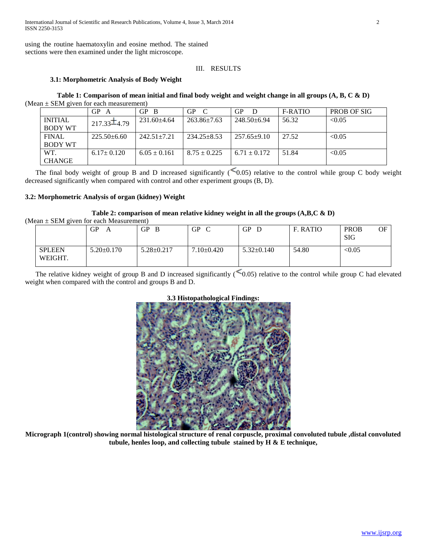International Journal of Scientific and Research Publications, Volume 4, Issue 3, March 2014 2 ISSN 2250-3153

using the routine haematoxylin and eosine method. The stained sections were then examined under the light microscope.

# III. RESULTS

# **3.1: Morphometric Analysis of Body Weight**

**Table 1: Comparison of mean initial and final body weight and weight change in all groups (A, B, C & D)** (Mean ± SEM given for each measurement)

|                                  | GP               | $GP$ $B$          | <b>GP</b><br>$\mathbf C$ | GP                | F-RATIO | PROB OF SIG |
|----------------------------------|------------------|-------------------|--------------------------|-------------------|---------|-------------|
| <b>INITIAL</b><br><b>BODY WT</b> | $217.33\pm4.79$  | $231.60 \pm 4.64$ | $263.86 \pm 7.63$        | $248.50 \pm 6.94$ | 56.32   | < 0.05      |
| <b>FINAL</b>                     | $225.50+6.60$    | $242.51 \pm 7.21$ | $234.25 \pm 8.53$        | $257.65+9.10$     | 27.52   | < 0.05      |
| <b>BODY WT</b>                   |                  |                   |                          |                   |         |             |
| WT.                              | $6.17 \pm 0.120$ | $6.05 \pm 0.161$  | $8.75 \pm 0.225$         | $6.71 \pm 0.172$  | 51.84   | < 0.05      |
| <b>CHANGE</b>                    |                  |                   |                          |                   |         |             |

The final body weight of group B and D increased significantly  $\leq 0.05$ ) relative to the control while group C body weight decreased significantly when compared with control and other experiment groups (B, D).

## **3.2: Morphometric Analysis of organ (kidney) Weight**

## **Table 2: comparison of mean relative kidney weight in all the groups (A,B,C & D)**

| (Mean $\pm$ SEM given for each Measurement) |  |
|---------------------------------------------|--|
|---------------------------------------------|--|

|                          | GP<br>Α          | GР<br>B          | GP<br>$\sim$   | GP.<br>D         | F. RATIO | <b>PROB</b><br>OF<br><b>SIG</b> |
|--------------------------|------------------|------------------|----------------|------------------|----------|---------------------------------|
| <b>SPLEEN</b><br>WEIGHT. | $5.20 \pm 0.170$ | $5.28 \pm 0.217$ | $7.10\pm0.420$ | $5.32 \pm 0.140$ | 54.80    | < 0.05                          |

The relative kidney weight of group B and D increased significantly  $\leq 0.05$ ) relative to the control while group C had elevated weight when compared with the control and groups B and D.



# **3.3 Histopathological Findings:**

**Micrograph 1(control) showing normal histological structure of renal corpuscle, proximal convoluted tubule ,distal convoluted tubule, henles loop, and collecting tubule stained by H & E technique,**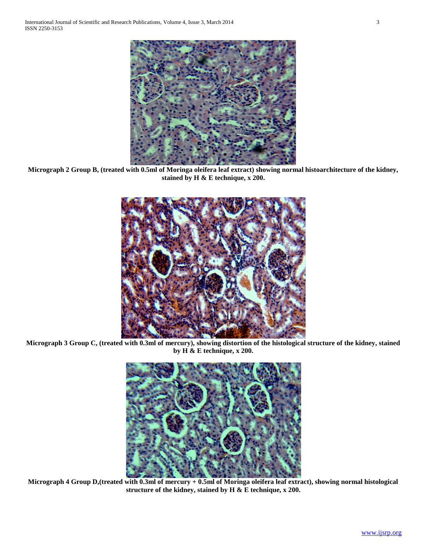

**Micrograph 2 Group B, (treated with 0.5ml of Moringa oleifera leaf extract) showing normal histoarchitecture of the kidney, stained by H & E technique, x 200.**



**Micrograph 3 Group C, (treated with 0.3ml of mercury), showing distortion of the histological structure of the kidney, stained by H & E technique, x 200.**



**Micrograph 4 Group D,(treated with 0.3ml of mercury + 0.5ml of Moringa oleifera leaf extract), showing normal histological structure of the kidney, stained by H & E technique, x 200.**